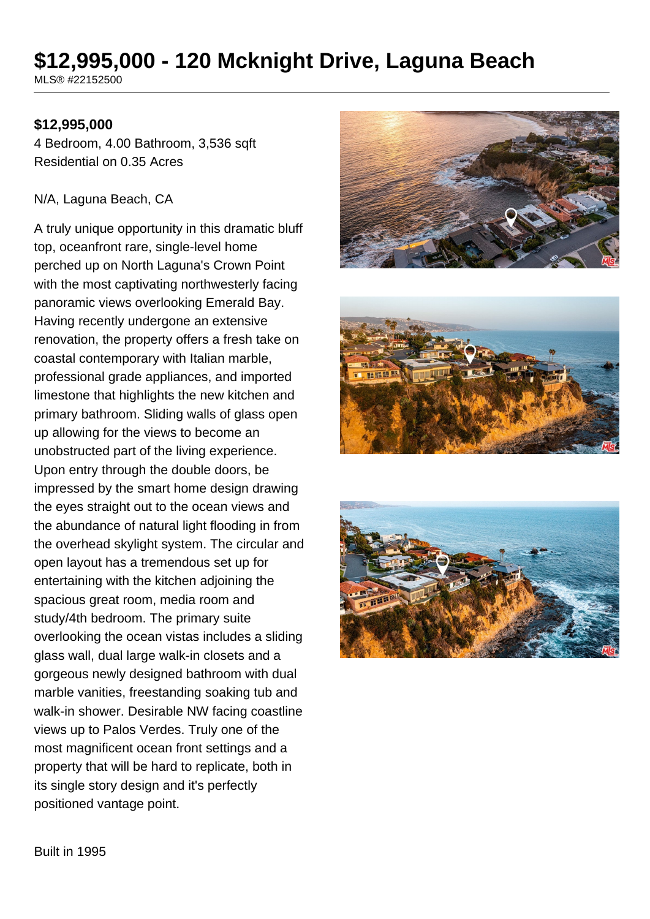# **\$12,995,000 - 120 Mcknight Drive, Laguna Beach**

MLS® #22152500

### **\$12,995,000**

4 Bedroom, 4.00 Bathroom, 3,536 sqft Residential on 0.35 Acres

#### N/A, Laguna Beach, CA

A truly unique opportunity in this dramatic bluff top, oceanfront rare, single-level home perched up on North Laguna's Crown Point with the most captivating northwesterly facing panoramic views overlooking Emerald Bay. Having recently undergone an extensive renovation, the property offers a fresh take on coastal contemporary with Italian marble, professional grade appliances, and imported limestone that highlights the new kitchen and primary bathroom. Sliding walls of glass open up allowing for the views to become an unobstructed part of the living experience. Upon entry through the double doors, be impressed by the smart home design drawing the eyes straight out to the ocean views and the abundance of natural light flooding in from the overhead skylight system. The circular and open layout has a tremendous set up for entertaining with the kitchen adjoining the spacious great room, media room and study/4th bedroom. The primary suite overlooking the ocean vistas includes a sliding glass wall, dual large walk-in closets and a gorgeous newly designed bathroom with dual marble vanities, freestanding soaking tub and walk-in shower. Desirable NW facing coastline views up to Palos Verdes. Truly one of the most magnificent ocean front settings and a property that will be hard to replicate, both in its single story design and it's perfectly positioned vantage point.







Built in 1995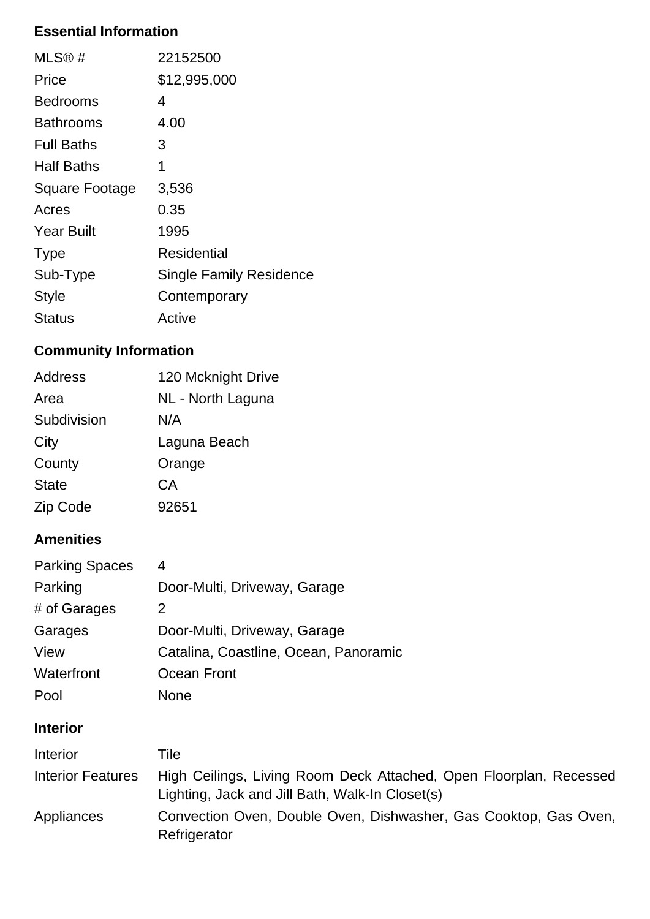### **Essential Information**

| MLS@#             | 22152500                |
|-------------------|-------------------------|
| Price             | \$12,995,000            |
| <b>Bedrooms</b>   | 4                       |
| Bathrooms         | 4.00                    |
| <b>Full Baths</b> | 3                       |
| <b>Half Baths</b> | 1                       |
| Square Footage    | 3,536                   |
| Acres             | 0.35                    |
| <b>Year Built</b> | 1995                    |
| <b>Type</b>       | Residential             |
| Sub-Type          | Single Family Residence |
| <b>Style</b>      | Contemporary            |
| Status            | Active                  |

## **Community Information**

| Address      | 120 Mcknight Drive |
|--------------|--------------------|
| Area         | NL - North Laguna  |
| Subdivision  | N/A                |
| City         | Laguna Beach       |
| County       | Orange             |
| <b>State</b> | СA                 |
| Zip Code     | 92651              |

# **Amenities**

| <b>Parking Spaces</b> | 4                                     |
|-----------------------|---------------------------------------|
| Parking               | Door-Multi, Driveway, Garage          |
| # of Garages          | 2                                     |
| Garages               | Door-Multi, Driveway, Garage          |
| View                  | Catalina, Coastline, Ocean, Panoramic |
| Waterfront            | Ocean Front                           |
| Pool                  | None                                  |

### **Interior**

| <b>Interior</b>   | Tile                                                                                                                  |
|-------------------|-----------------------------------------------------------------------------------------------------------------------|
| Interior Features | High Ceilings, Living Room Deck Attached, Open Floorplan, Recessed<br>Lighting, Jack and Jill Bath, Walk-In Closet(s) |
| Appliances        | Convection Oven, Double Oven, Dishwasher, Gas Cooktop, Gas Oven,<br>Refrigerator                                      |